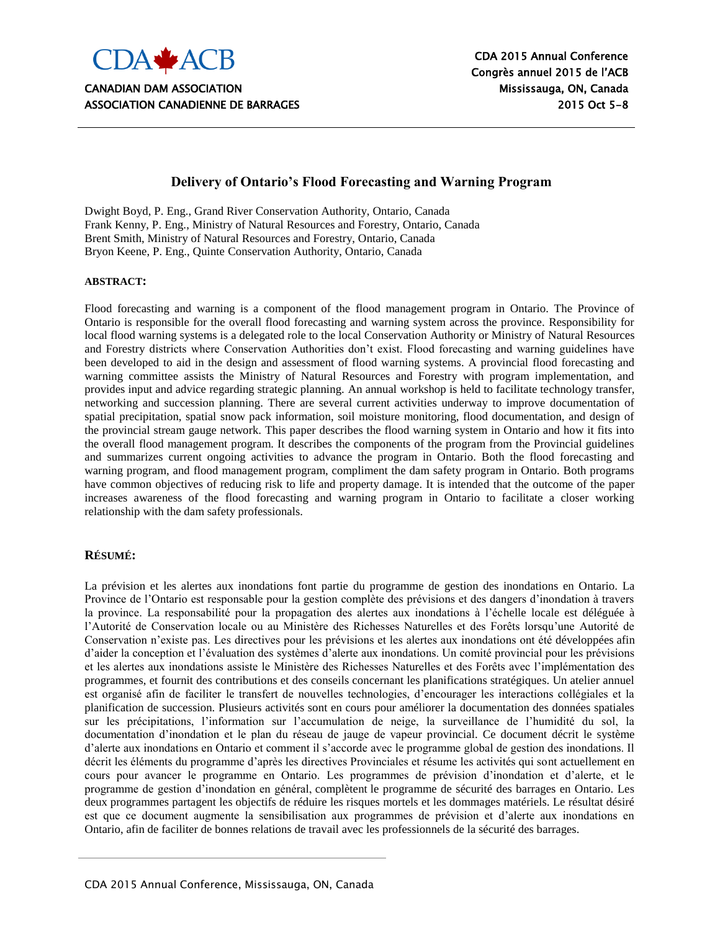

#### **Delivery of Ontario's Flood Forecasting and Warning Program**

Dwight Boyd, P. Eng., Grand River Conservation Authority, Ontario, Canada Frank Kenny, P. Eng., Ministry of Natural Resources and Forestry, Ontario, Canada Brent Smith, Ministry of Natural Resources and Forestry, Ontario, Canada Bryon Keene, P. Eng., Quinte Conservation Authority, Ontario, Canada

#### **ABSTRACT:**

Flood forecasting and warning is a component of the flood management program in Ontario. The Province of Ontario is responsible for the overall flood forecasting and warning system across the province. Responsibility for local flood warning systems is a delegated role to the local Conservation Authority or Ministry of Natural Resources and Forestry districts where Conservation Authorities don"t exist. Flood forecasting and warning guidelines have been developed to aid in the design and assessment of flood warning systems. A provincial flood forecasting and warning committee assists the Ministry of Natural Resources and Forestry with program implementation, and provides input and advice regarding strategic planning. An annual workshop is held to facilitate technology transfer, networking and succession planning. There are several current activities underway to improve documentation of spatial precipitation, spatial snow pack information, soil moisture monitoring, flood documentation, and design of the provincial stream gauge network. This paper describes the flood warning system in Ontario and how it fits into the overall flood management program. It describes the components of the program from the Provincial guidelines and summarizes current ongoing activities to advance the program in Ontario. Both the flood forecasting and warning program, and flood management program, compliment the dam safety program in Ontario. Both programs have common objectives of reducing risk to life and property damage. It is intended that the outcome of the paper increases awareness of the flood forecasting and warning program in Ontario to facilitate a closer working relationship with the dam safety professionals.

#### **RÉSUMÉ:**

La prévision et les alertes aux inondations font partie du programme de gestion des inondations en Ontario. La Province de l"Ontario est responsable pour la gestion complète des prévisions et des dangers d"inondation à travers la province. La responsabilité pour la propagation des alertes aux inondations à l"échelle locale est déléguée à l"Autorité de Conservation locale ou au Ministère des Richesses Naturelles et des Forêts lorsqu"une Autorité de Conservation n"existe pas. Les directives pour les prévisions et les alertes aux inondations ont été développées afin d'aider la conception et l'évaluation des systèmes d'alerte aux inondations. Un comité provincial pour les prévisions et les alertes aux inondations assiste le Ministère des Richesses Naturelles et des Forêts avec l"implémentation des programmes, et fournit des contributions et des conseils concernant les planifications stratégiques. Un atelier annuel est organisé afin de faciliter le transfert de nouvelles technologies, d"encourager les interactions collégiales et la planification de succession. Plusieurs activités sont en cours pour améliorer la documentation des données spatiales sur les précipitations, l"information sur l"accumulation de neige, la surveillance de l"humidité du sol, la documentation d"inondation et le plan du réseau de jauge de vapeur provincial. Ce document décrit le système d"alerte aux inondations en Ontario et comment il s"accorde avec le programme global de gestion des inondations. Il décrit les éléments du programme d"après les directives Provinciales et résume les activités qui sont actuellement en cours pour avancer le programme en Ontario. Les programmes de prévision d"inondation et d"alerte, et le programme de gestion d"inondation en général, complètent le programme de sécurité des barrages en Ontario. Les deux programmes partagent les objectifs de réduire les risques mortels et les dommages matériels. Le résultat désiré est que ce document augmente la sensibilisation aux programmes de prévision et d"alerte aux inondations en Ontario, afin de faciliter de bonnes relations de travail avec les professionnels de la sécurité des barrages.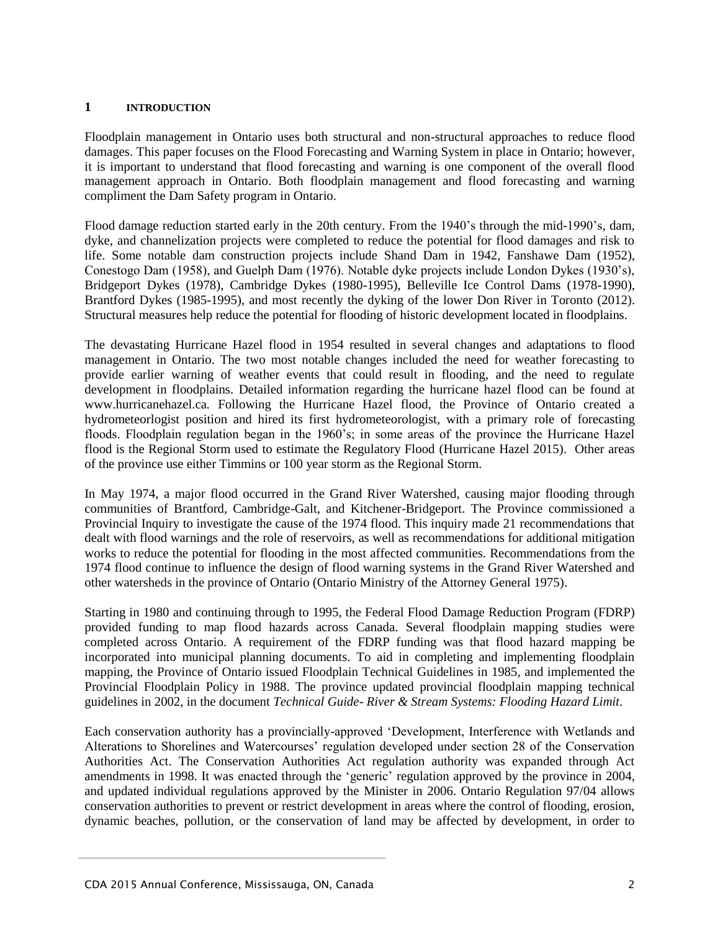#### **1 INTRODUCTION**

Floodplain management in Ontario uses both structural and non-structural approaches to reduce flood damages. This paper focuses on the Flood Forecasting and Warning System in place in Ontario; however, it is important to understand that flood forecasting and warning is one component of the overall flood management approach in Ontario. Both floodplain management and flood forecasting and warning compliment the Dam Safety program in Ontario.

Flood damage reduction started early in the 20th century. From the 1940"s through the mid-1990"s, dam, dyke, and channelization projects were completed to reduce the potential for flood damages and risk to life. Some notable dam construction projects include Shand Dam in 1942, Fanshawe Dam (1952), Conestogo Dam (1958), and Guelph Dam (1976). Notable dyke projects include London Dykes (1930"s), Bridgeport Dykes (1978), Cambridge Dykes (1980-1995), Belleville Ice Control Dams (1978-1990), Brantford Dykes (1985-1995), and most recently the dyking of the lower Don River in Toronto (2012). Structural measures help reduce the potential for flooding of historic development located in floodplains.

The devastating Hurricane Hazel flood in 1954 resulted in several changes and adaptations to flood management in Ontario. The two most notable changes included the need for weather forecasting to provide earlier warning of weather events that could result in flooding, and the need to regulate development in floodplains. Detailed information regarding the hurricane hazel flood can be found at www.hurricanehazel.ca*.* Following the Hurricane Hazel flood, the Province of Ontario created a hydrometeorlogist position and hired its first hydrometeorologist, with a primary role of forecasting floods. Floodplain regulation began in the 1960's; in some areas of the province the Hurricane Hazel flood is the Regional Storm used to estimate the Regulatory Flood (Hurricane Hazel 2015). Other areas of the province use either Timmins or 100 year storm as the Regional Storm.

In May 1974, a major flood occurred in the Grand River Watershed, causing major flooding through communities of Brantford, Cambridge-Galt, and Kitchener-Bridgeport. The Province commissioned a Provincial Inquiry to investigate the cause of the 1974 flood. This inquiry made 21 recommendations that dealt with flood warnings and the role of reservoirs, as well as recommendations for additional mitigation works to reduce the potential for flooding in the most affected communities. Recommendations from the 1974 flood continue to influence the design of flood warning systems in the Grand River Watershed and other watersheds in the province of Ontario (Ontario Ministry of the Attorney General 1975).

Starting in 1980 and continuing through to 1995, the Federal Flood Damage Reduction Program (FDRP) provided funding to map flood hazards across Canada. Several floodplain mapping studies were completed across Ontario. A requirement of the FDRP funding was that flood hazard mapping be incorporated into municipal planning documents. To aid in completing and implementing floodplain mapping, the Province of Ontario issued Floodplain Technical Guidelines in 1985, and implemented the Provincial Floodplain Policy in 1988. The province updated provincial floodplain mapping technical guidelines in 2002, in the document *Technical Guide- River & Stream Systems: Flooding Hazard Limit*.

Each conservation authority has a provincially-approved "Development, Interference with Wetlands and Alterations to Shorelines and Watercourses" regulation developed under section 28 of the Conservation Authorities Act. The Conservation Authorities Act regulation authority was expanded through Act amendments in 1998. It was enacted through the 'generic' regulation approved by the province in 2004, and updated individual regulations approved by the Minister in 2006. Ontario Regulation 97/04 allows conservation authorities to prevent or restrict development in areas where the control of flooding, erosion, dynamic beaches, pollution, or the conservation of land may be affected by development, in order to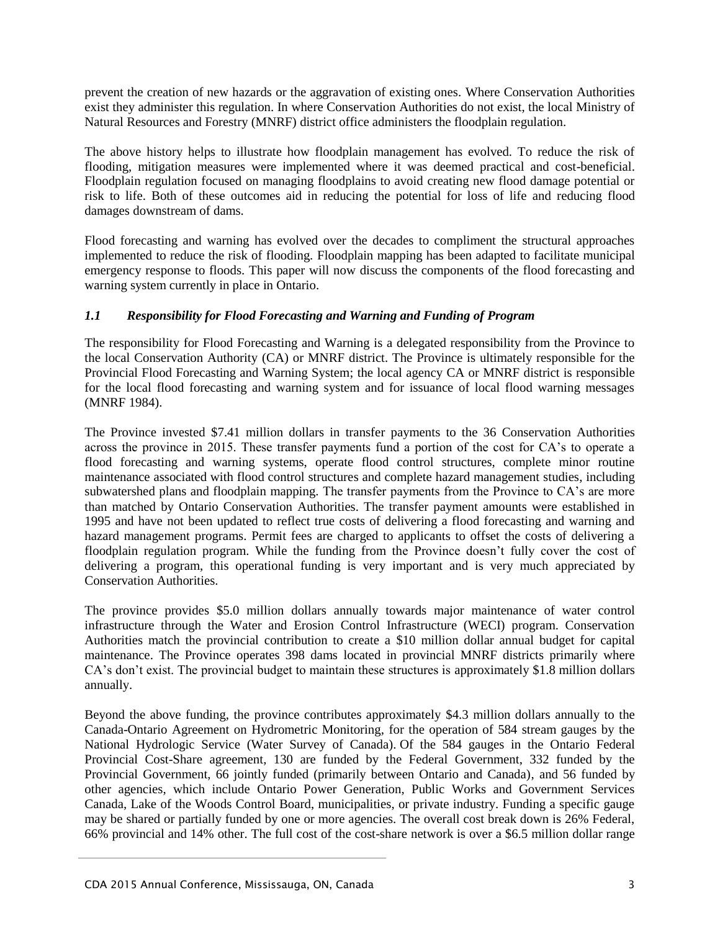prevent the creation of new hazards or the aggravation of existing ones. Where Conservation Authorities exist they administer this regulation. In where Conservation Authorities do not exist, the local Ministry of Natural Resources and Forestry (MNRF) district office administers the floodplain regulation.

The above history helps to illustrate how floodplain management has evolved. To reduce the risk of flooding, mitigation measures were implemented where it was deemed practical and cost-beneficial. Floodplain regulation focused on managing floodplains to avoid creating new flood damage potential or risk to life. Both of these outcomes aid in reducing the potential for loss of life and reducing flood damages downstream of dams.

Flood forecasting and warning has evolved over the decades to compliment the structural approaches implemented to reduce the risk of flooding. Floodplain mapping has been adapted to facilitate municipal emergency response to floods. This paper will now discuss the components of the flood forecasting and warning system currently in place in Ontario.

## *1.1 Responsibility for Flood Forecasting and Warning and Funding of Program*

The responsibility for Flood Forecasting and Warning is a delegated responsibility from the Province to the local Conservation Authority (CA) or MNRF district. The Province is ultimately responsible for the Provincial Flood Forecasting and Warning System; the local agency CA or MNRF district is responsible for the local flood forecasting and warning system and for issuance of local flood warning messages (MNRF 1984).

The Province invested \$7.41 million dollars in transfer payments to the 36 Conservation Authorities across the province in 2015. These transfer payments fund a portion of the cost for CA"s to operate a flood forecasting and warning systems, operate flood control structures, complete minor routine maintenance associated with flood control structures and complete hazard management studies, including subwatershed plans and floodplain mapping. The transfer payments from the Province to CA's are more than matched by Ontario Conservation Authorities. The transfer payment amounts were established in 1995 and have not been updated to reflect true costs of delivering a flood forecasting and warning and hazard management programs. Permit fees are charged to applicants to offset the costs of delivering a floodplain regulation program. While the funding from the Province doesn"t fully cover the cost of delivering a program, this operational funding is very important and is very much appreciated by Conservation Authorities.

The province provides \$5.0 million dollars annually towards major maintenance of water control infrastructure through the Water and Erosion Control Infrastructure (WECI) program. Conservation Authorities match the provincial contribution to create a \$10 million dollar annual budget for capital maintenance. The Province operates 398 dams located in provincial MNRF districts primarily where CA"s don"t exist. The provincial budget to maintain these structures is approximately \$1.8 million dollars annually.

Beyond the above funding, the province contributes approximately \$4.3 million dollars annually to the Canada-Ontario Agreement on Hydrometric Monitoring, for the operation of 584 stream gauges by the National Hydrologic Service (Water Survey of Canada). Of the 584 gauges in the Ontario Federal Provincial Cost-Share agreement, 130 are funded by the Federal Government, 332 funded by the Provincial Government, 66 jointly funded (primarily between Ontario and Canada), and 56 funded by other agencies, which include Ontario Power Generation, Public Works and Government Services Canada, Lake of the Woods Control Board, municipalities, or private industry. Funding a specific gauge may be shared or partially funded by one or more agencies. The overall cost break down is 26% Federal, 66% provincial and 14% other. The full cost of the cost-share network is over a \$6.5 million dollar range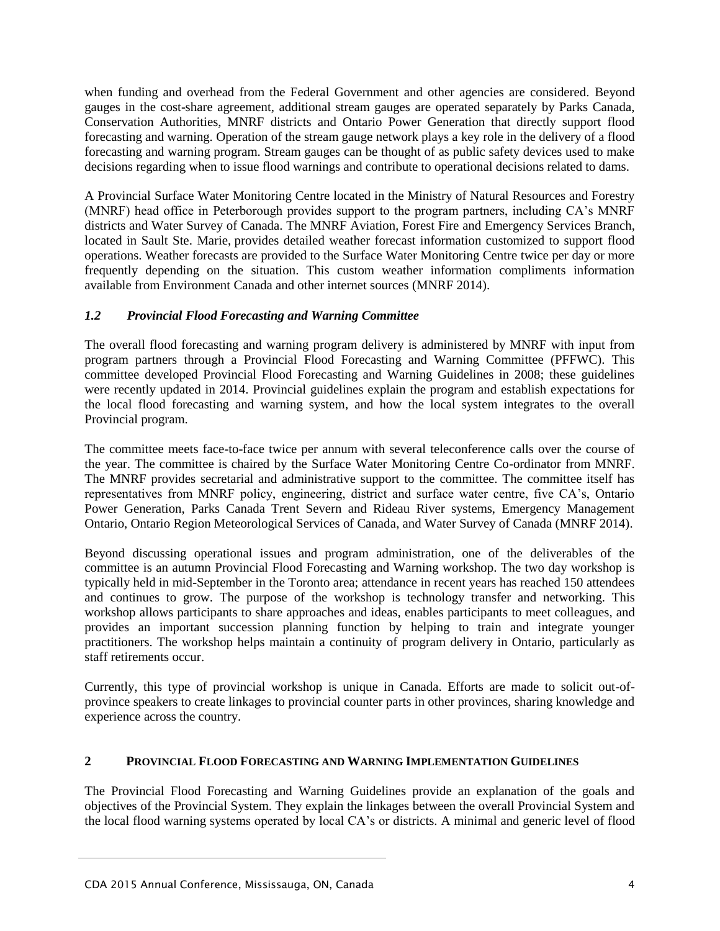when funding and overhead from the Federal Government and other agencies are considered. Beyond gauges in the cost-share agreement, additional stream gauges are operated separately by Parks Canada, Conservation Authorities, MNRF districts and Ontario Power Generation that directly support flood forecasting and warning. Operation of the stream gauge network plays a key role in the delivery of a flood forecasting and warning program. Stream gauges can be thought of as public safety devices used to make decisions regarding when to issue flood warnings and contribute to operational decisions related to dams.

A Provincial Surface Water Monitoring Centre located in the Ministry of Natural Resources and Forestry (MNRF) head office in Peterborough provides support to the program partners, including CA"s MNRF districts and Water Survey of Canada. The MNRF Aviation, Forest Fire and Emergency Services Branch, located in Sault Ste. Marie, provides detailed weather forecast information customized to support flood operations. Weather forecasts are provided to the Surface Water Monitoring Centre twice per day or more frequently depending on the situation. This custom weather information compliments information available from Environment Canada and other internet sources (MNRF 2014).

## *1.2 Provincial Flood Forecasting and Warning Committee*

The overall flood forecasting and warning program delivery is administered by MNRF with input from program partners through a Provincial Flood Forecasting and Warning Committee (PFFWC). This committee developed Provincial Flood Forecasting and Warning Guidelines in 2008; these guidelines were recently updated in 2014. Provincial guidelines explain the program and establish expectations for the local flood forecasting and warning system, and how the local system integrates to the overall Provincial program.

The committee meets face-to-face twice per annum with several teleconference calls over the course of the year. The committee is chaired by the Surface Water Monitoring Centre Co-ordinator from MNRF. The MNRF provides secretarial and administrative support to the committee. The committee itself has representatives from MNRF policy, engineering, district and surface water centre, five CA"s, Ontario Power Generation, Parks Canada Trent Severn and Rideau River systems, Emergency Management Ontario, Ontario Region Meteorological Services of Canada, and Water Survey of Canada (MNRF 2014).

Beyond discussing operational issues and program administration, one of the deliverables of the committee is an autumn Provincial Flood Forecasting and Warning workshop. The two day workshop is typically held in mid-September in the Toronto area; attendance in recent years has reached 150 attendees and continues to grow. The purpose of the workshop is technology transfer and networking. This workshop allows participants to share approaches and ideas, enables participants to meet colleagues, and provides an important succession planning function by helping to train and integrate younger practitioners. The workshop helps maintain a continuity of program delivery in Ontario, particularly as staff retirements occur.

Currently, this type of provincial workshop is unique in Canada. Efforts are made to solicit out-ofprovince speakers to create linkages to provincial counter parts in other provinces, sharing knowledge and experience across the country.

## **2 PROVINCIAL FLOOD FORECASTING AND WARNING IMPLEMENTATION GUIDELINES**

The Provincial Flood Forecasting and Warning Guidelines provide an explanation of the goals and objectives of the Provincial System. They explain the linkages between the overall Provincial System and the local flood warning systems operated by local CA"s or districts. A minimal and generic level of flood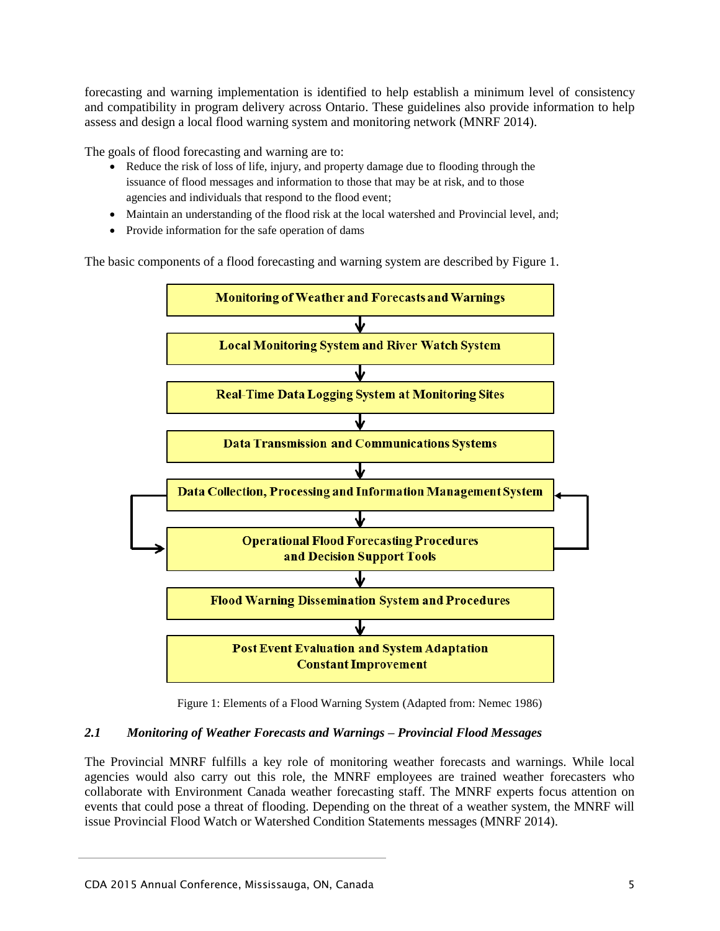forecasting and warning implementation is identified to help establish a minimum level of consistency and compatibility in program delivery across Ontario. These guidelines also provide information to help assess and design a local flood warning system and monitoring network (MNRF 2014).

The goals of flood forecasting and warning are to:

- Reduce the risk of loss of life, injury, and property damage due to flooding through the issuance of flood messages and information to those that may be at risk, and to those agencies and individuals that respond to the flood event;
- Maintain an understanding of the flood risk at the local watershed and Provincial level, and;
- Provide information for the safe operation of dams

The basic components of a flood forecasting and warning system are described by Figure 1.



Figure 1: Elements of a Flood Warning System (Adapted from: Nemec 1986)

## *2.1 Monitoring of Weather Forecasts and Warnings – Provincial Flood Messages*

The Provincial MNRF fulfills a key role of monitoring weather forecasts and warnings. While local agencies would also carry out this role, the MNRF employees are trained weather forecasters who collaborate with Environment Canada weather forecasting staff. The MNRF experts focus attention on events that could pose a threat of flooding. Depending on the threat of a weather system, the MNRF will issue Provincial Flood Watch or Watershed Condition Statements messages (MNRF 2014).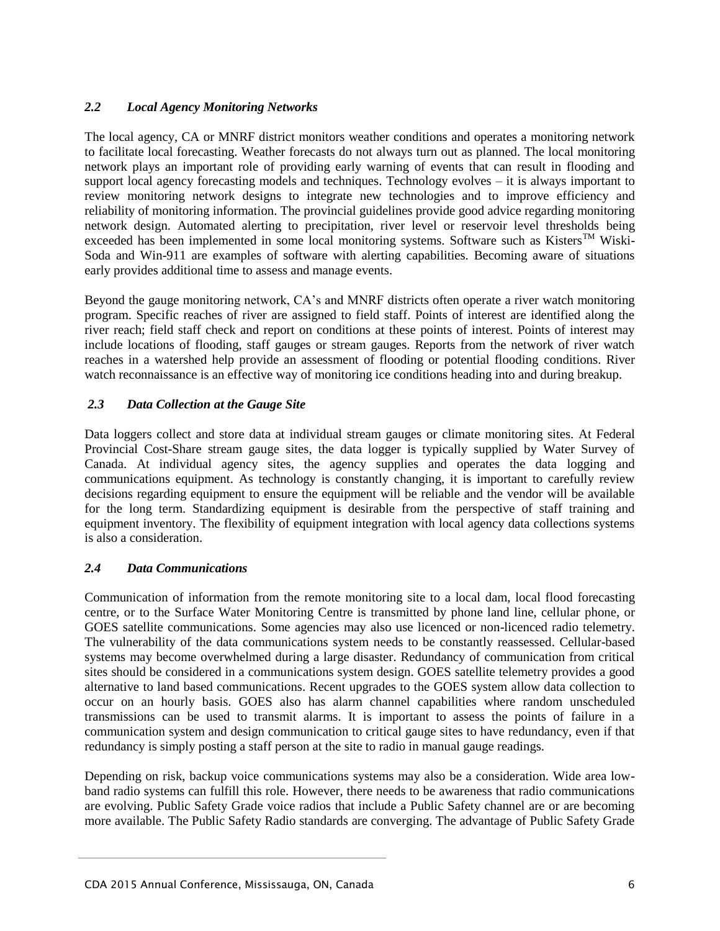## *2.2 Local Agency Monitoring Networks*

The local agency, CA or MNRF district monitors weather conditions and operates a monitoring network to facilitate local forecasting. Weather forecasts do not always turn out as planned. The local monitoring network plays an important role of providing early warning of events that can result in flooding and support local agency forecasting models and techniques. Technology evolves – it is always important to review monitoring network designs to integrate new technologies and to improve efficiency and reliability of monitoring information. The provincial guidelines provide good advice regarding monitoring network design. Automated alerting to precipitation, river level or reservoir level thresholds being exceeded has been implemented in some local monitoring systems. Software such as Kisters<sup>TM</sup> Wiski-Soda and Win-911 are examples of software with alerting capabilities. Becoming aware of situations early provides additional time to assess and manage events.

Beyond the gauge monitoring network, CA"s and MNRF districts often operate a river watch monitoring program. Specific reaches of river are assigned to field staff. Points of interest are identified along the river reach; field staff check and report on conditions at these points of interest. Points of interest may include locations of flooding, staff gauges or stream gauges. Reports from the network of river watch reaches in a watershed help provide an assessment of flooding or potential flooding conditions. River watch reconnaissance is an effective way of monitoring ice conditions heading into and during breakup.

## *2.3 Data Collection at the Gauge Site*

Data loggers collect and store data at individual stream gauges or climate monitoring sites. At Federal Provincial Cost-Share stream gauge sites, the data logger is typically supplied by Water Survey of Canada. At individual agency sites, the agency supplies and operates the data logging and communications equipment. As technology is constantly changing, it is important to carefully review decisions regarding equipment to ensure the equipment will be reliable and the vendor will be available for the long term. Standardizing equipment is desirable from the perspective of staff training and equipment inventory. The flexibility of equipment integration with local agency data collections systems is also a consideration.

## *2.4 Data Communications*

Communication of information from the remote monitoring site to a local dam, local flood forecasting centre, or to the Surface Water Monitoring Centre is transmitted by phone land line, cellular phone, or GOES satellite communications. Some agencies may also use licenced or non-licenced radio telemetry. The vulnerability of the data communications system needs to be constantly reassessed. Cellular-based systems may become overwhelmed during a large disaster. Redundancy of communication from critical sites should be considered in a communications system design. GOES satellite telemetry provides a good alternative to land based communications. Recent upgrades to the GOES system allow data collection to occur on an hourly basis. GOES also has alarm channel capabilities where random unscheduled transmissions can be used to transmit alarms. It is important to assess the points of failure in a communication system and design communication to critical gauge sites to have redundancy, even if that redundancy is simply posting a staff person at the site to radio in manual gauge readings.

Depending on risk, backup voice communications systems may also be a consideration. Wide area lowband radio systems can fulfill this role. However, there needs to be awareness that radio communications are evolving. Public Safety Grade voice radios that include a Public Safety channel are or are becoming more available. The Public Safety Radio standards are converging. The advantage of Public Safety Grade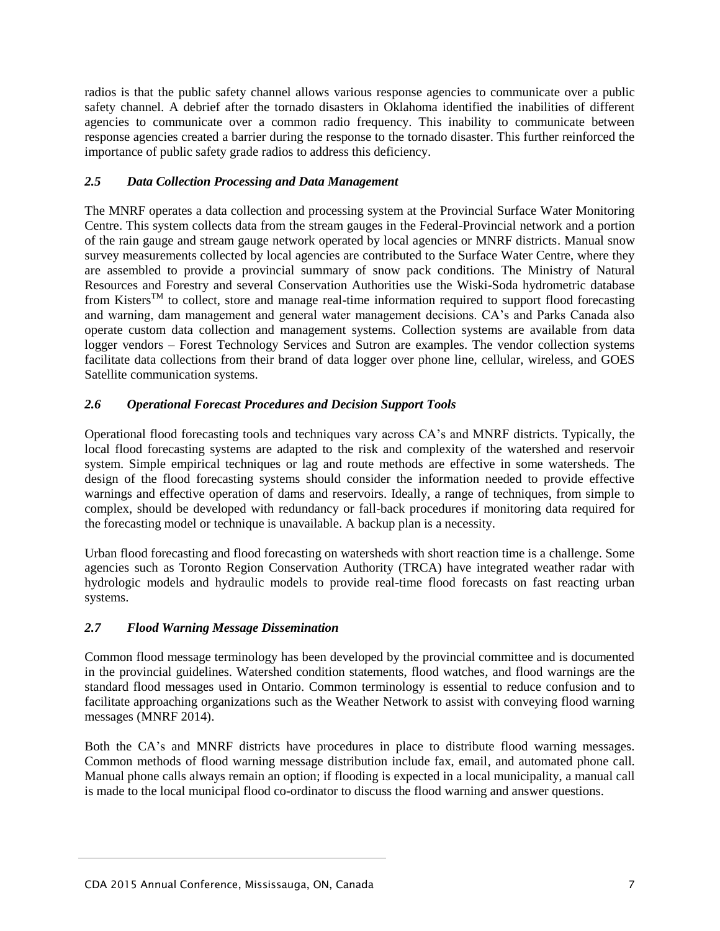radios is that the public safety channel allows various response agencies to communicate over a public safety channel. A debrief after the tornado disasters in Oklahoma identified the inabilities of different agencies to communicate over a common radio frequency. This inability to communicate between response agencies created a barrier during the response to the tornado disaster. This further reinforced the importance of public safety grade radios to address this deficiency.

## *2.5 Data Collection Processing and Data Management*

The MNRF operates a data collection and processing system at the Provincial Surface Water Monitoring Centre. This system collects data from the stream gauges in the Federal-Provincial network and a portion of the rain gauge and stream gauge network operated by local agencies or MNRF districts. Manual snow survey measurements collected by local agencies are contributed to the Surface Water Centre, where they are assembled to provide a provincial summary of snow pack conditions. The Ministry of Natural Resources and Forestry and several Conservation Authorities use the Wiski-Soda hydrometric database from Kisters<sup>™</sup> to collect, store and manage real-time information required to support flood forecasting and warning, dam management and general water management decisions. CA's and Parks Canada also operate custom data collection and management systems. Collection systems are available from data logger vendors – Forest Technology Services and Sutron are examples. The vendor collection systems facilitate data collections from their brand of data logger over phone line, cellular, wireless, and GOES Satellite communication systems.

## *2.6 Operational Forecast Procedures and Decision Support Tools*

Operational flood forecasting tools and techniques vary across CA"s and MNRF districts. Typically, the local flood forecasting systems are adapted to the risk and complexity of the watershed and reservoir system. Simple empirical techniques or lag and route methods are effective in some watersheds. The design of the flood forecasting systems should consider the information needed to provide effective warnings and effective operation of dams and reservoirs. Ideally, a range of techniques, from simple to complex, should be developed with redundancy or fall-back procedures if monitoring data required for the forecasting model or technique is unavailable. A backup plan is a necessity.

Urban flood forecasting and flood forecasting on watersheds with short reaction time is a challenge. Some agencies such as Toronto Region Conservation Authority (TRCA) have integrated weather radar with hydrologic models and hydraulic models to provide real-time flood forecasts on fast reacting urban systems.

## *2.7 Flood Warning Message Dissemination*

Common flood message terminology has been developed by the provincial committee and is documented in the provincial guidelines. Watershed condition statements, flood watches, and flood warnings are the standard flood messages used in Ontario. Common terminology is essential to reduce confusion and to facilitate approaching organizations such as the Weather Network to assist with conveying flood warning messages (MNRF 2014).

Both the CA"s and MNRF districts have procedures in place to distribute flood warning messages. Common methods of flood warning message distribution include fax, email, and automated phone call. Manual phone calls always remain an option; if flooding is expected in a local municipality, a manual call is made to the local municipal flood co-ordinator to discuss the flood warning and answer questions.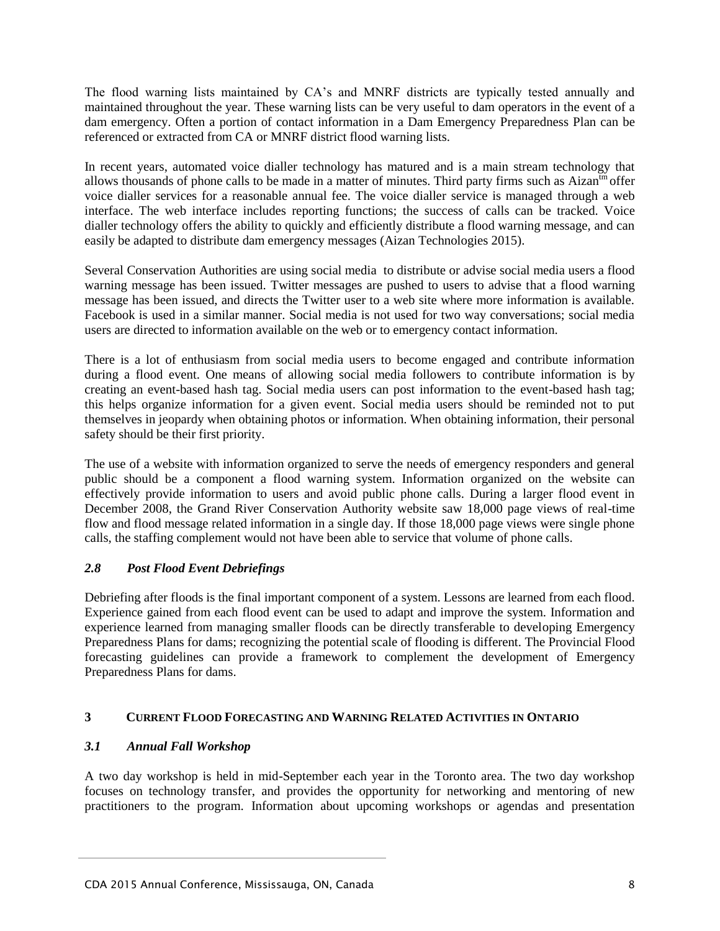The flood warning lists maintained by CA"s and MNRF districts are typically tested annually and maintained throughout the year. These warning lists can be very useful to dam operators in the event of a dam emergency. Often a portion of contact information in a Dam Emergency Preparedness Plan can be referenced or extracted from CA or MNRF district flood warning lists.

In recent years, automated voice dialler technology has matured and is a main stream technology that allows thousands of phone calls to be made in a matter of minutes. Third party firms such as Aizan<sup>tm</sup> offer voice dialler services for a reasonable annual fee. The voice dialler service is managed through a web interface. The web interface includes reporting functions; the success of calls can be tracked. Voice dialler technology offers the ability to quickly and efficiently distribute a flood warning message, and can easily be adapted to distribute dam emergency messages (Aizan Technologies 2015).

Several Conservation Authorities are using social media to distribute or advise social media users a flood warning message has been issued. Twitter messages are pushed to users to advise that a flood warning message has been issued, and directs the Twitter user to a web site where more information is available. Facebook is used in a similar manner. Social media is not used for two way conversations; social media users are directed to information available on the web or to emergency contact information.

There is a lot of enthusiasm from social media users to become engaged and contribute information during a flood event. One means of allowing social media followers to contribute information is by creating an event-based hash tag. Social media users can post information to the event-based hash tag; this helps organize information for a given event. Social media users should be reminded not to put themselves in jeopardy when obtaining photos or information. When obtaining information, their personal safety should be their first priority.

The use of a website with information organized to serve the needs of emergency responders and general public should be a component a flood warning system. Information organized on the website can effectively provide information to users and avoid public phone calls. During a larger flood event in December 2008, the Grand River Conservation Authority website saw 18,000 page views of real-time flow and flood message related information in a single day. If those 18,000 page views were single phone calls, the staffing complement would not have been able to service that volume of phone calls.

# *2.8 Post Flood Event Debriefings*

Debriefing after floods is the final important component of a system. Lessons are learned from each flood. Experience gained from each flood event can be used to adapt and improve the system. Information and experience learned from managing smaller floods can be directly transferable to developing Emergency Preparedness Plans for dams; recognizing the potential scale of flooding is different. The Provincial Flood forecasting guidelines can provide a framework to complement the development of Emergency Preparedness Plans for dams.

# **3 CURRENT FLOOD FORECASTING AND WARNING RELATED ACTIVITIES IN ONTARIO**

# *3.1 Annual Fall Workshop*

A two day workshop is held in mid-September each year in the Toronto area. The two day workshop focuses on technology transfer, and provides the opportunity for networking and mentoring of new practitioners to the program. Information about upcoming workshops or agendas and presentation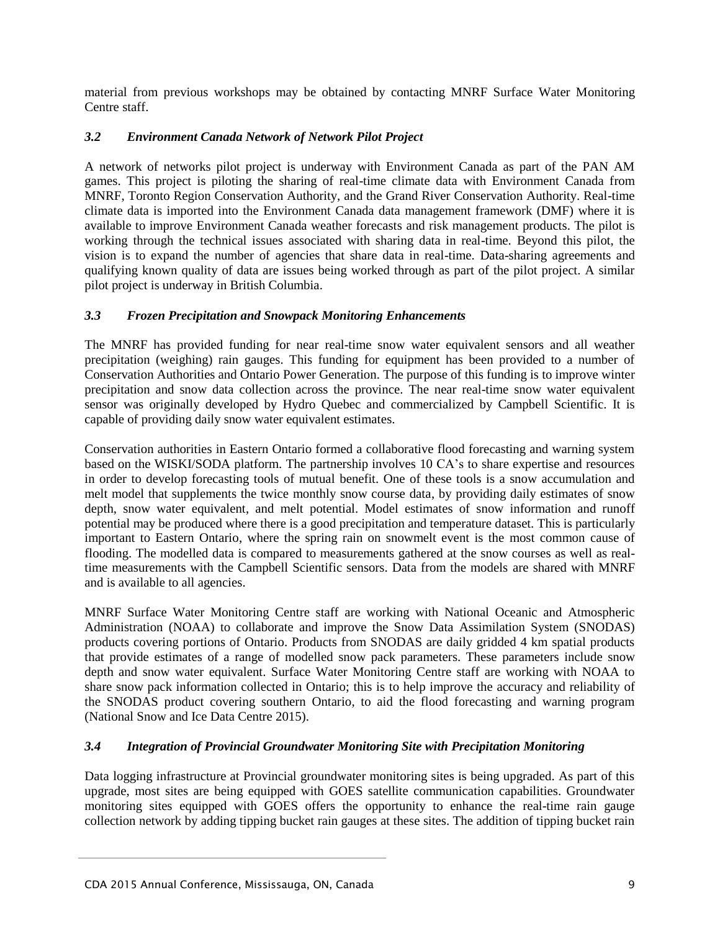material from previous workshops may be obtained by contacting MNRF Surface Water Monitoring Centre staff.

## *3.2 Environment Canada Network of Network Pilot Project*

A network of networks pilot project is underway with Environment Canada as part of the PAN AM games. This project is piloting the sharing of real-time climate data with Environment Canada from MNRF, Toronto Region Conservation Authority, and the Grand River Conservation Authority. Real-time climate data is imported into the Environment Canada data management framework (DMF) where it is available to improve Environment Canada weather forecasts and risk management products. The pilot is working through the technical issues associated with sharing data in real-time. Beyond this pilot, the vision is to expand the number of agencies that share data in real-time. Data-sharing agreements and qualifying known quality of data are issues being worked through as part of the pilot project. A similar pilot project is underway in British Columbia.

## *3.3 Frozen Precipitation and Snowpack Monitoring Enhancements*

The MNRF has provided funding for near real-time snow water equivalent sensors and all weather precipitation (weighing) rain gauges. This funding for equipment has been provided to a number of Conservation Authorities and Ontario Power Generation. The purpose of this funding is to improve winter precipitation and snow data collection across the province. The near real-time snow water equivalent sensor was originally developed by Hydro Quebec and commercialized by Campbell Scientific. It is capable of providing daily snow water equivalent estimates.

Conservation authorities in Eastern Ontario formed a collaborative flood forecasting and warning system based on the WISKI/SODA platform. The partnership involves 10 CA"s to share expertise and resources in order to develop forecasting tools of mutual benefit. One of these tools is a snow accumulation and melt model that supplements the twice monthly snow course data, by providing daily estimates of snow depth, snow water equivalent, and melt potential. Model estimates of snow information and runoff potential may be produced where there is a good precipitation and temperature dataset. This is particularly important to Eastern Ontario, where the spring rain on snowmelt event is the most common cause of flooding. The modelled data is compared to measurements gathered at the snow courses as well as realtime measurements with the Campbell Scientific sensors. Data from the models are shared with MNRF and is available to all agencies.

MNRF Surface Water Monitoring Centre staff are working with National Oceanic and Atmospheric Administration (NOAA) to collaborate and improve the Snow Data Assimilation System (SNODAS) products covering portions of Ontario. Products from SNODAS are daily gridded 4 km spatial products that provide estimates of a range of modelled snow pack parameters. These parameters include snow depth and snow water equivalent. Surface Water Monitoring Centre staff are working with NOAA to share snow pack information collected in Ontario; this is to help improve the accuracy and reliability of the SNODAS product covering southern Ontario, to aid the flood forecasting and warning program (National Snow and Ice Data Centre 2015).

## *3.4 Integration of Provincial Groundwater Monitoring Site with Precipitation Monitoring*

Data logging infrastructure at Provincial groundwater monitoring sites is being upgraded. As part of this upgrade, most sites are being equipped with GOES satellite communication capabilities. Groundwater monitoring sites equipped with GOES offers the opportunity to enhance the real-time rain gauge collection network by adding tipping bucket rain gauges at these sites. The addition of tipping bucket rain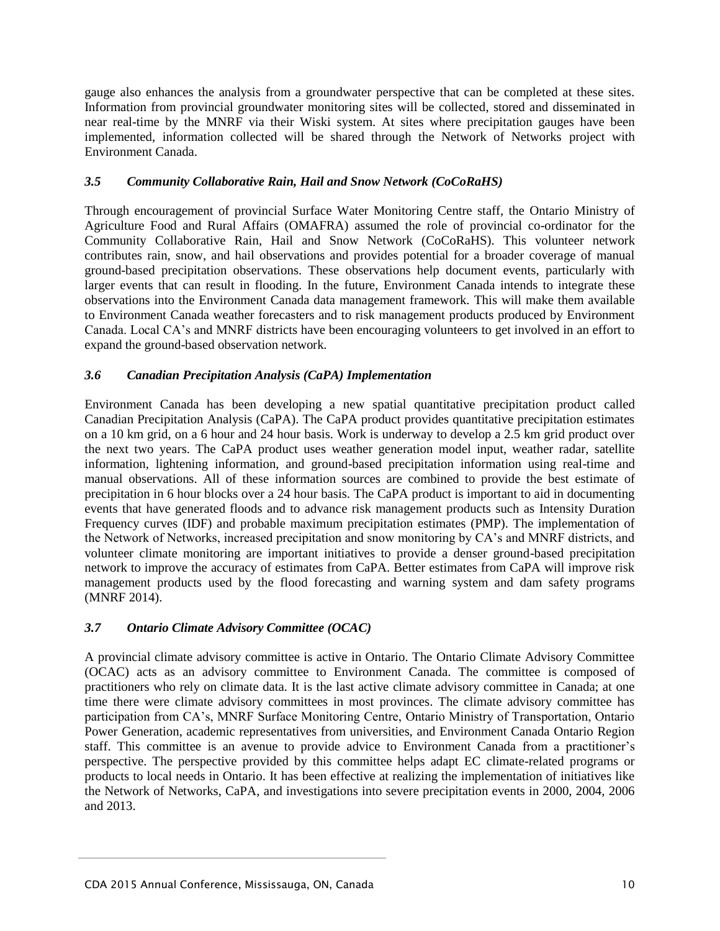gauge also enhances the analysis from a groundwater perspective that can be completed at these sites. Information from provincial groundwater monitoring sites will be collected, stored and disseminated in near real-time by the MNRF via their Wiski system. At sites where precipitation gauges have been implemented, information collected will be shared through the Network of Networks project with Environment Canada.

## *3.5 Community Collaborative Rain, Hail and Snow Network (CoCoRaHS)*

Through encouragement of provincial Surface Water Monitoring Centre staff, the Ontario Ministry of Agriculture Food and Rural Affairs (OMAFRA) assumed the role of provincial co-ordinator for the Community Collaborative Rain, Hail and Snow Network (CoCoRaHS). This volunteer network contributes rain, snow, and hail observations and provides potential for a broader coverage of manual ground-based precipitation observations. These observations help document events, particularly with larger events that can result in flooding. In the future, Environment Canada intends to integrate these observations into the Environment Canada data management framework. This will make them available to Environment Canada weather forecasters and to risk management products produced by Environment Canada. Local CA"s and MNRF districts have been encouraging volunteers to get involved in an effort to expand the ground-based observation network.

## *3.6 Canadian Precipitation Analysis (CaPA) Implementation*

Environment Canada has been developing a new spatial quantitative precipitation product called Canadian Precipitation Analysis (CaPA). The CaPA product provides quantitative precipitation estimates on a 10 km grid, on a 6 hour and 24 hour basis. Work is underway to develop a 2.5 km grid product over the next two years. The CaPA product uses weather generation model input, weather radar, satellite information, lightening information, and ground-based precipitation information using real-time and manual observations. All of these information sources are combined to provide the best estimate of precipitation in 6 hour blocks over a 24 hour basis. The CaPA product is important to aid in documenting events that have generated floods and to advance risk management products such as Intensity Duration Frequency curves (IDF) and probable maximum precipitation estimates (PMP). The implementation of the Network of Networks, increased precipitation and snow monitoring by CA"s and MNRF districts, and volunteer climate monitoring are important initiatives to provide a denser ground-based precipitation network to improve the accuracy of estimates from CaPA. Better estimates from CaPA will improve risk management products used by the flood forecasting and warning system and dam safety programs (MNRF 2014).

# *3.7 Ontario Climate Advisory Committee (OCAC)*

A provincial climate advisory committee is active in Ontario. The Ontario Climate Advisory Committee (OCAC) acts as an advisory committee to Environment Canada. The committee is composed of practitioners who rely on climate data. It is the last active climate advisory committee in Canada; at one time there were climate advisory committees in most provinces. The climate advisory committee has participation from CA"s, MNRF Surface Monitoring Centre, Ontario Ministry of Transportation, Ontario Power Generation, academic representatives from universities, and Environment Canada Ontario Region staff. This committee is an avenue to provide advice to Environment Canada from a practitioner's perspective. The perspective provided by this committee helps adapt EC climate-related programs or products to local needs in Ontario. It has been effective at realizing the implementation of initiatives like the Network of Networks, CaPA, and investigations into severe precipitation events in 2000, 2004, 2006 and 2013.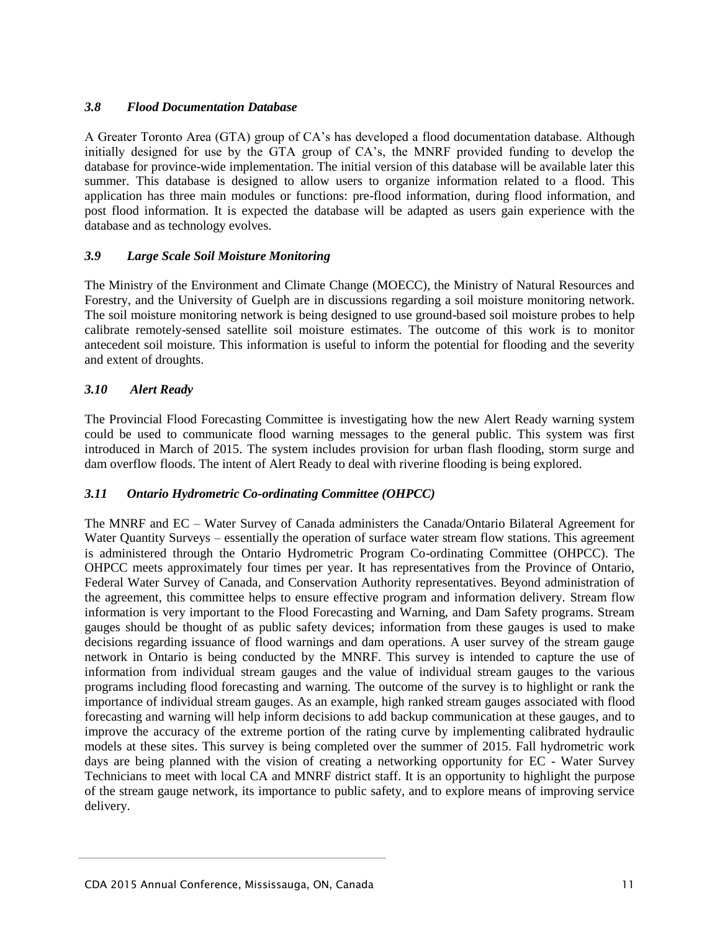## *3.8 Flood Documentation Database*

A Greater Toronto Area (GTA) group of CA"s has developed a flood documentation database. Although initially designed for use by the GTA group of CA"s, the MNRF provided funding to develop the database for province-wide implementation. The initial version of this database will be available later this summer. This database is designed to allow users to organize information related to a flood. This application has three main modules or functions: pre-flood information, during flood information, and post flood information. It is expected the database will be adapted as users gain experience with the database and as technology evolves.

## *3.9 Large Scale Soil Moisture Monitoring*

The Ministry of the Environment and Climate Change (MOECC), the Ministry of Natural Resources and Forestry, and the University of Guelph are in discussions regarding a soil moisture monitoring network. The soil moisture monitoring network is being designed to use ground-based soil moisture probes to help calibrate remotely-sensed satellite soil moisture estimates. The outcome of this work is to monitor antecedent soil moisture. This information is useful to inform the potential for flooding and the severity and extent of droughts.

#### *3.10 Alert Ready*

The Provincial Flood Forecasting Committee is investigating how the new Alert Ready warning system could be used to communicate flood warning messages to the general public. This system was first introduced in March of 2015. The system includes provision for urban flash flooding, storm surge and dam overflow floods. The intent of Alert Ready to deal with riverine flooding is being explored.

#### *3.11 Ontario Hydrometric Co-ordinating Committee (OHPCC)*

The MNRF and EC – Water Survey of Canada administers the Canada/Ontario Bilateral Agreement for Water Quantity Surveys – essentially the operation of surface water stream flow stations. This agreement is administered through the Ontario Hydrometric Program Co-ordinating Committee (OHPCC). The OHPCC meets approximately four times per year. It has representatives from the Province of Ontario, Federal Water Survey of Canada, and Conservation Authority representatives. Beyond administration of the agreement, this committee helps to ensure effective program and information delivery. Stream flow information is very important to the Flood Forecasting and Warning, and Dam Safety programs. Stream gauges should be thought of as public safety devices; information from these gauges is used to make decisions regarding issuance of flood warnings and dam operations. A user survey of the stream gauge network in Ontario is being conducted by the MNRF. This survey is intended to capture the use of information from individual stream gauges and the value of individual stream gauges to the various programs including flood forecasting and warning. The outcome of the survey is to highlight or rank the importance of individual stream gauges. As an example, high ranked stream gauges associated with flood forecasting and warning will help inform decisions to add backup communication at these gauges, and to improve the accuracy of the extreme portion of the rating curve by implementing calibrated hydraulic models at these sites. This survey is being completed over the summer of 2015. Fall hydrometric work days are being planned with the vision of creating a networking opportunity for EC - Water Survey Technicians to meet with local CA and MNRF district staff. It is an opportunity to highlight the purpose of the stream gauge network, its importance to public safety, and to explore means of improving service delivery.